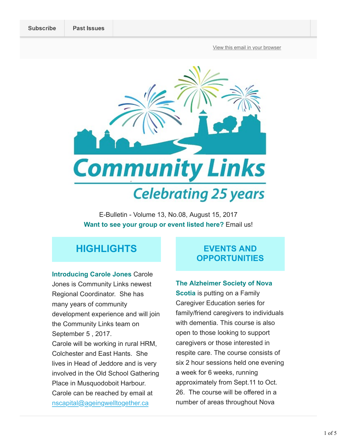View this email in your browser



E-Bulletin - Volume 13, No.08, August 15, 2017 Want to see your group or event listed here? Email us!

# **HIGHLIGHTS**

Introducing Carole Jones Carole Jones is Community Links newest Regional Coordinator. She has many years of community development experience and will join the Community Links team on September 5 , 2017. Carole will be working in rural HRM, Colchester and East Hants. She lives in Head of Jeddore and is very involved in the Old School Gathering Place in Musquodoboit Harbour. Carole can be reached by email at nscapital@ageingwelltogether.ca

## EVENTS AND **OPPORTUNITIES**

#### The Alzheimer Society of Nova

**Scotia** is putting on a Family Caregiver Education series for family/friend caregivers to individuals with dementia. This course is also open to those looking to support caregivers or those interested in respite care. The course consists of six 2 hour sessions held one evening a week for 6 weeks, running approximately from Sept.11 to Oct. 26. The course will be offered in a number of areas throughout Nova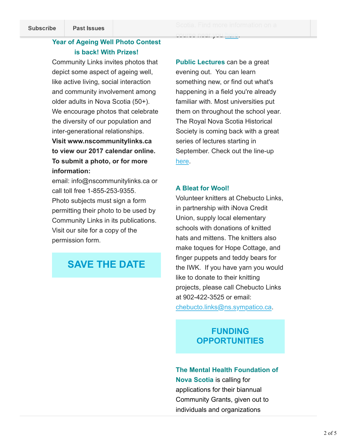#### Year of Ageing Well Photo Contest is back! With Prizes!

Community Links invites photos that depict some aspect of ageing well, like active living, social interaction and community involvement among older adults in Nova Scotia (50+). We encourage photos that celebrate the diversity of our population and inter-generational relationships.

Visit www.nscommunitylinks.ca to view our 2017 calendar online. To submit a photo, or for more information:

email: info@nscommunitylinks.ca or call toll free 1-855-253-9355. Photo subjects must sign a form permitting their photo to be used by Community Links in its publications. Visit our site for a copy of the permission form.

# SAVE THE DATE

course near you here.

**Public Lectures** can be a great evening out. You can learn something new, or find out what's happening in a field you're already familiar with. Most universities put them on throughout the school year. The Royal Nova Scotia Historical Society is coming back with a great series of lectures starting in September. Check out the line-up here.

#### A Bleat for Wool!

Volunteer knitters at Chebucto Links, in partnership with iNova Credit Union, supply local elementary schools with donations of knitted hats and mittens. The knitters also make toques for Hope Cottage, and finger puppets and teddy bears for the IWK. If you have yarn you would like to donate to their knitting projects, please call Chebucto Links at 902-422-3525 or email:

chebucto.links@ns.sympatico.ca.

## FUNDING **OPPORTUNITIES**

# The Mental Health Foundation of Nova Scotia is calling for applications for their biannual

Community Grants, given out to individuals and organizations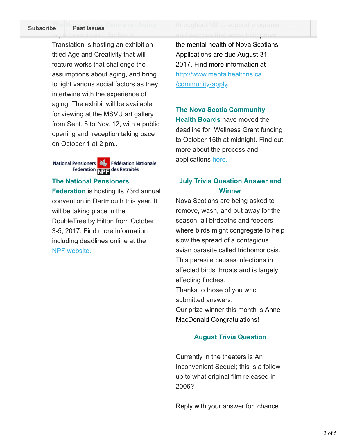Translation is hosting an exhibition titled Age and Creativity that will feature works that challenge the assumptions about aging, and bring to light various social factors as they intertwine with the experience of aging. The exhibit will be available for viewing at the MSVU art gallery from Sept. 8 to Nov. 12, with a public opening and reception taking pace on October 1 at 2 pm..

National Pensioners **November 1988** Fédération Nationale Federation NDE des Retraités

#### The National Pensioners

Federation is hosting its 73rd annual convention in Dartmouth this year. It will be taking place in the DoubleTree by Hilton from October 3-5, 2017. Find more information including deadlines online at the NPF website.

#### The Nova Scotia Centre on Aging throughout NS to support programs in partnership with Bodies in and services that serve to improve

the mental health of Nova Scotians. Applications are due August 31, 2017. Find more information at http://www.mentalhealthns.ca /community-apply.

## The Nova Scotia Community

Health Boards have moved the deadline for Wellness Grant funding to October 15th at midnight. Find out more about the process and applications here.

### July Trivia Question Answer and **Winner**

Nova Scotians are being asked to remove, wash, and put away for the season, all birdbaths and feeders where birds might congregate to help slow the spread of a contagious avian parasite called trichomonosis. This parasite causes infections in affected birds throats and is largely affecting finches. Thanks to those of you who submitted answers. Our prize winner this month is Anne MacDonald Congratulations!

#### August Trivia Question

Currently in the theaters is An Inconvenient Sequel; this is a follow up to what original film released in 2006?

Reply with your answer for chance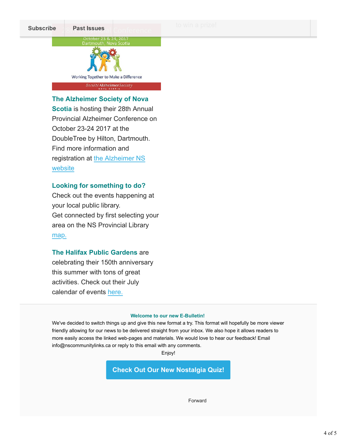

The Alzheimer Society of Nova

Scotia is hosting their 28th Annual Provincial Alzheimer Conference on October 23-24 2017 at the DoubleTree by Hilton, Dartmouth. Find more information and registration at the Alzheimer NS website

#### Looking for something to do?

Check out the events happening at your local public library. Get connected by first selecting your area on the NS Provincial Library map.

#### The Halifax Public Gardens are

celebrating their 150th anniversary this summer with tons of great activities. Check out their July calendar of events here.

#### Welcome to our new E-Bulletin!

We've decided to switch things up and give this new format a try. This format will hopefully be more viewer friendly allowing for our news to be delivered straight from your inbox. We also hope it allows readers to more easily access the linked web-pages and materials. We would love to hear our feedback! Email info@nscommunitylinks.ca or reply to this email with any comments.

Enjoy!

Check Out Our New Nostalgia Quiz!